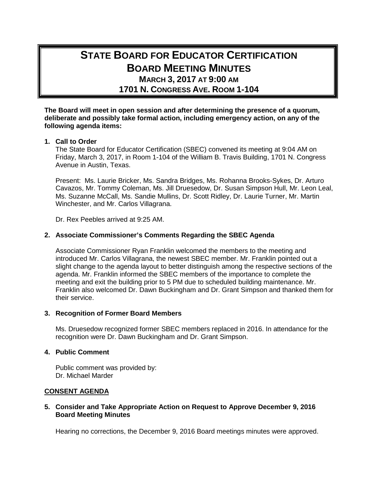# **STATE BOARD FOR EDUCATOR CERTIFICATION BOARD MEETING MINUTES MARCH 3, 2017 AT 9:00 AM**

**1701 N. CONGRESS AVE. ROOM 1-104**

**The Board will meet in open session and after determining the presence of a quorum, deliberate and possibly take formal action, including emergency action, on any of the following agenda items:**

#### **1. Call to Order**

The State Board for Educator Certification (SBEC) convened its meeting at 9:04 AM on Friday, March 3, 2017, in Room 1-104 of the William B. Travis Building, 1701 N. Congress Avenue in Austin, Texas.

Present: Ms. Laurie Bricker, Ms. Sandra Bridges, Ms. Rohanna Brooks-Sykes, Dr. Arturo Cavazos, Mr. Tommy Coleman, Ms. Jill Druesedow, Dr. Susan Simpson Hull, Mr. Leon Leal, Ms. Suzanne McCall, Ms. Sandie Mullins, Dr. Scott Ridley, Dr. Laurie Turner, Mr. Martin Winchester, and Mr. Carlos Villagrana.

Dr. Rex Peebles arrived at 9:25 AM.

# **2. Associate Commissioner's Comments Regarding the SBEC Agenda**

Associate Commissioner Ryan Franklin welcomed the members to the meeting and introduced Mr. Carlos Villagrana, the newest SBEC member. Mr. Franklin pointed out a slight change to the agenda layout to better distinguish among the respective sections of the agenda. Mr. Franklin informed the SBEC members of the importance to complete the meeting and exit the building prior to 5 PM due to scheduled building maintenance. Mr. Franklin also welcomed Dr. Dawn Buckingham and Dr. Grant Simpson and thanked them for their service.

#### **3. Recognition of Former Board Members**

Ms. Druesedow recognized former SBEC members replaced in 2016. In attendance for the recognition were Dr. Dawn Buckingham and Dr. Grant Simpson.

#### **4. Public Comment**

Public comment was provided by: Dr. Michael Marder

# **CONSENT AGENDA**

#### **5. Consider and Take Appropriate Action on Request to Approve December 9, 2016 Board Meeting Minutes**

Hearing no corrections, the December 9, 2016 Board meetings minutes were approved.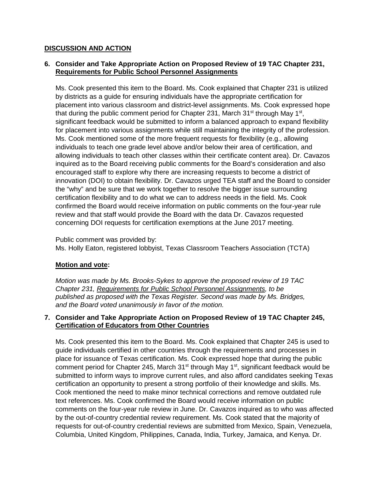# **DISCUSSION AND ACTION**

# **6. Consider and Take Appropriate Action on Proposed Review of 19 TAC Chapter 231, Requirements for Public School Personnel Assignments**

Ms. Cook presented this item to the Board. Ms. Cook explained that Chapter 231 is utilized by districts as a guide for ensuring individuals have the appropriate certification for placement into various classroom and district-level assignments. Ms. Cook expressed hope that during the public comment period for Chapter 231, March 31<sup>st</sup> through May 1<sup>st</sup>, significant feedback would be submitted to inform a balanced approach to expand flexibility for placement into various assignments while still maintaining the integrity of the profession. Ms. Cook mentioned some of the more frequent requests for flexibility (e.g., allowing individuals to teach one grade level above and/or below their area of certification, and allowing individuals to teach other classes within their certificate content area). Dr. Cavazos inquired as to the Board receiving public comments for the Board's consideration and also encouraged staff to explore why there are increasing requests to become a district of innovation (DOI) to obtain flexibility. Dr. Cavazos urged TEA staff and the Board to consider the "why" and be sure that we work together to resolve the bigger issue surrounding certification flexibility and to do what we can to address needs in the field. Ms. Cook confirmed the Board would receive information on public comments on the four-year rule review and that staff would provide the Board with the data Dr. Cavazos requested concerning DOI requests for certification exemptions at the June 2017 meeting.

Public comment was provided by:

Ms. Holly Eaton, registered lobbyist, Texas Classroom Teachers Association (TCTA)

# **Motion and vote:**

*Motion was made by Ms. Brooks-Sykes to approve the proposed review of 19 TAC Chapter 231, Requirements for Public School Personnel Assignments, to be published as proposed with the Texas Register. Second was made by Ms. Bridges, and the Board voted unanimously in favor of the motion.*

# **7. Consider and Take Appropriate Action on Proposed Review of 19 TAC Chapter 245, Certification of Educators from Other Countries**

Ms. Cook presented this item to the Board. Ms. Cook explained that Chapter 245 is used to guide individuals certified in other countries through the requirements and processes in place for issuance of Texas certification. Ms. Cook expressed hope that during the public comment period for Chapter 245, March  $31<sup>st</sup>$  through May  $1<sup>st</sup>$ , significant feedback would be submitted to inform ways to improve current rules, and also afford candidates seeking Texas certification an opportunity to present a strong portfolio of their knowledge and skills. Ms. Cook mentioned the need to make minor technical corrections and remove outdated rule text references. Ms. Cook confirmed the Board would receive information on public comments on the four-year rule review in June. Dr. Cavazos inquired as to who was affected by the out-of-country credential review requirement. Ms. Cook stated that the majority of requests for out-of-country credential reviews are submitted from Mexico, Spain, Venezuela, Columbia, United Kingdom, Philippines, Canada, India, Turkey, Jamaica, and Kenya. Dr.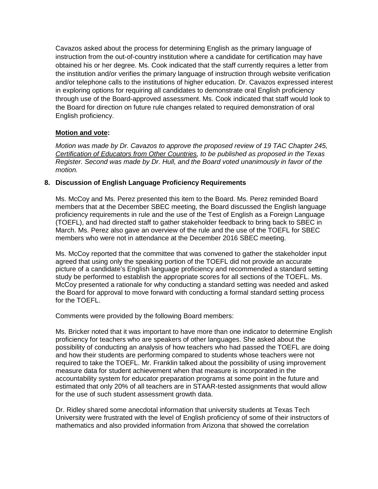Cavazos asked about the process for determining English as the primary language of instruction from the out-of-country institution where a candidate for certification may have obtained his or her degree. Ms. Cook indicated that the staff currently requires a letter from the institution and/or verifies the primary language of instruction through website verification and/or telephone calls to the institutions of higher education. Dr. Cavazos expressed interest in exploring options for requiring all candidates to demonstrate oral English proficiency through use of the Board-approved assessment. Ms. Cook indicated that staff would look to the Board for direction on future rule changes related to required demonstration of oral English proficiency.

# **Motion and vote:**

*Motion was made by Dr. Cavazos to approve the proposed review of 19 TAC Chapter 245, Certification of Educators from Other Countries, to be published as proposed in the Texas Register. Second was made by Dr. Hull, and the Board voted unanimously in favor of the motion.*

# **8. Discussion of English Language Proficiency Requirements**

Ms. McCoy and Ms. Perez presented this item to the Board. Ms. Perez reminded Board members that at the December SBEC meeting, the Board discussed the English language proficiency requirements in rule and the use of the Test of English as a Foreign Language (TOEFL), and had directed staff to gather stakeholder feedback to bring back to SBEC in March. Ms. Perez also gave an overview of the rule and the use of the TOEFL for SBEC members who were not in attendance at the December 2016 SBEC meeting.

Ms. McCoy reported that the committee that was convened to gather the stakeholder input agreed that using only the speaking portion of the TOEFL did not provide an accurate picture of a candidate's English language proficiency and recommended a standard setting study be performed to establish the appropriate scores for all sections of the TOEFL. Ms. McCoy presented a rationale for why conducting a standard setting was needed and asked the Board for approval to move forward with conducting a formal standard setting process for the TOEFL.

Comments were provided by the following Board members:

Ms. Bricker noted that it was important to have more than one indicator to determine English proficiency for teachers who are speakers of other languages. She asked about the possibility of conducting an analysis of how teachers who had passed the TOEFL are doing and how their students are performing compared to students whose teachers were not required to take the TOEFL. Mr. Franklin talked about the possibility of using improvement measure data for student achievement when that measure is incorporated in the accountability system for educator preparation programs at some point in the future and estimated that only 20% of all teachers are in STAAR-tested assignments that would allow for the use of such student assessment growth data.

Dr. Ridley shared some anecdotal information that university students at Texas Tech University were frustrated with the level of English proficiency of some of their instructors of mathematics and also provided information from Arizona that showed the correlation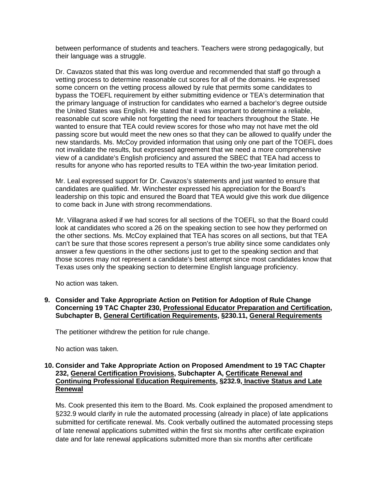between performance of students and teachers. Teachers were strong pedagogically, but their language was a struggle.

Dr. Cavazos stated that this was long overdue and recommended that staff go through a vetting process to determine reasonable cut scores for all of the domains. He expressed some concern on the vetting process allowed by rule that permits some candidates to bypass the TOEFL requirement by either submitting evidence or TEA's determination that the primary language of instruction for candidates who earned a bachelor's degree outside the United States was English. He stated that it was important to determine a reliable, reasonable cut score while not forgetting the need for teachers throughout the State. He wanted to ensure that TEA could review scores for those who may not have met the old passing score but would meet the new ones so that they can be allowed to qualify under the new standards. Ms. McCoy provided information that using only one part of the TOEFL does not invalidate the results, but expressed agreement that we need a more comprehensive view of a candidate's English proficiency and assured the SBEC that TEA had access to results for anyone who has reported results to TEA within the two-year limitation period.

Mr. Leal expressed support for Dr. Cavazos's statements and just wanted to ensure that candidates are qualified. Mr. Winchester expressed his appreciation for the Board's leadership on this topic and ensured the Board that TEA would give this work due diligence to come back in June with strong recommendations.

Mr. Villagrana asked if we had scores for all sections of the TOEFL so that the Board could look at candidates who scored a 26 on the speaking section to see how they performed on the other sections. Ms. McCoy explained that TEA has scores on all sections, but that TEA can't be sure that those scores represent a person's true ability since some candidates only answer a few questions in the other sections just to get to the speaking section and that those scores may not represent a candidate's best attempt since most candidates know that Texas uses only the speaking section to determine English language proficiency.

No action was taken.

**9. Consider and Take Appropriate Action on Petition for Adoption of Rule Change Concerning 19 TAC Chapter 230, Professional Educator Preparation and Certification, Subchapter B, General Certification Requirements, §230.11, General Requirements**

The petitioner withdrew the petition for rule change.

No action was taken.

#### **10. Consider and Take Appropriate Action on Proposed Amendment to 19 TAC Chapter 232, General Certification Provisions, Subchapter A, Certificate Renewal and Continuing Professional Education Requirements, §232.9, Inactive Status and Late Renewal**

Ms. Cook presented this item to the Board. Ms. Cook explained the proposed amendment to §232.9 would clarify in rule the automated processing (already in place) of late applications submitted for certificate renewal. Ms. Cook verbally outlined the automated processing steps of late renewal applications submitted within the first six months after certificate expiration date and for late renewal applications submitted more than six months after certificate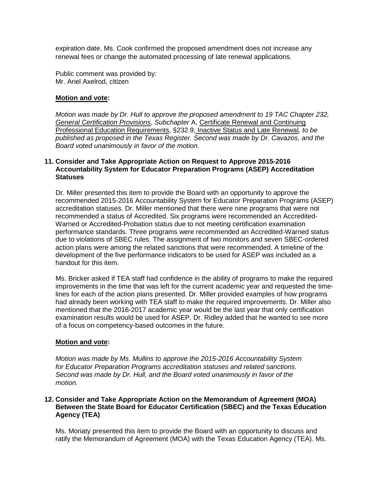expiration date. Ms. Cook confirmed the proposed amendment does not increase any renewal fees or change the automated processing of late renewal applications.

Public comment was provided by: Mr. Ariel Axelrod, citizen

#### **Motion and vote:**

*Motion was made by Dr. Hull to approve the proposed amendment to 19 TAC Chapter 232, General Certification Provisions, Subchapter* A, Certificate Renewal and Continuing Professional Education Requirements, §232.9, Inactive Status and Late Renewal*, to be published as proposed in the Texas Register. Second was made by Dr. Cavazos, and the Board voted unanimously in favor of the motion.*

#### **11. Consider and Take Appropriate Action on Request to Approve 2015-2016 Accountability System for Educator Preparation Programs (ASEP) Accreditation Statuses**

Dr. Miller presented this item to provide the Board with an opportunity to approve the recommended 2015-2016 Accountability System for Educator Preparation Programs (ASEP) accreditation statuses. Dr. Miller mentioned that there were nine programs that were not recommended a status of Accredited. Six programs were recommended an Accredited-Warned or Accredited-Probation status due to not meeting certification examination performance standards. Three programs were recommended an Accredited-Warned status due to violations of SBEC rules. The assignment of two monitors and seven SBEC-ordered action plans were among the related sanctions that were recommended. A timeline of the development of the five performance indicators to be used for ASEP was included as a handout for this item.

Ms. Bricker asked if TEA staff had confidence in the ability of programs to make the required improvements in the time that was left for the current academic year and requested the timelines for each of the action plans presented. Dr. Miller provided examples of how programs had already been working with TEA staff to make the required improvements. Dr. Miller also mentioned that the 2016-2017 academic year would be the last year that only certification examination results would be used for ASEP. Dr. Ridley added that he wanted to see more of a focus on competency-based outcomes in the future.

#### **Motion and vote:**

*Motion was made by Ms. Mullins to approve the 2015-2016 Accountability System for Educator Preparation Programs accreditation statuses and related sanctions. Second was made by Dr. Hull, and the Board voted unanimously in favor of the motion.*

# **12. Consider and Take Appropriate Action on the Memorandum of Agreement (MOA) Between the State Board for Educator Certification (SBEC) and the Texas Education Agency (TEA)**

Ms. Moriaty presented this item to provide the Board with an opportunity to discuss and ratify the Memorandum of Agreement (MOA) with the Texas Education Agency (TEA). Ms.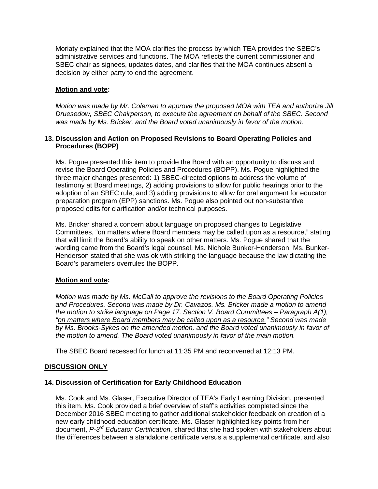Moriaty explained that the MOA clarifies the process by which TEA provides the SBEC's administrative services and functions. The MOA reflects the current commissioner and SBEC chair as signees, updates dates, and clarifies that the MOA continues absent a decision by either party to end the agreement.

# **Motion and vote:**

*Motion was made by Mr. Coleman to approve the proposed MOA with TEA and authorize Jill Druesedow, SBEC Chairperson, to execute the agreement on behalf of the SBEC. Second was made by Ms. Bricker, and the Board voted unanimously in favor of the motion.*

#### **13. Discussion and Action on Proposed Revisions to Board Operating Policies and Procedures (BOPP)**

Ms. Pogue presented this item to provide the Board with an opportunity to discuss and revise the Board Operating Policies and Procedures (BOPP). Ms. Pogue highlighted the three major changes presented: 1) SBEC-directed options to address the volume of testimony at Board meetings, 2) adding provisions to allow for public hearings prior to the adoption of an SBEC rule, and 3) adding provisions to allow for oral argument for educator preparation program (EPP) sanctions. Ms. Pogue also pointed out non-substantive proposed edits for clarification and/or technical purposes.

Ms. Bricker shared a concern about language on proposed changes to Legislative Committees, "on matters where Board members may be called upon as a resource," stating that will limit the Board's ability to speak on other matters. Ms. Pogue shared that the wording came from the Board's legal counsel, Ms. Nichole Bunker-Henderson. Ms. Bunker-Henderson stated that she was ok with striking the language because the law dictating the Board's parameters overrules the BOPP.

#### **Motion and vote:**

*Motion was made by Ms. McCall to approve the revisions to the Board Operating Policies and Procedures. Second was made by Dr. Cavazos. Ms. Bricker made a motion to amend the motion to strike language on Page 17, Section V. Board Committees – Paragraph A(1), "on matters where Board members may be called upon as a resource." Second was made by Ms. Brooks-Sykes on the amended motion, and the Board voted unanimously in favor of the motion to amend. The Board voted unanimously in favor of the main motion.*

The SBEC Board recessed for lunch at 11:35 PM and reconvened at 12:13 PM.

# **DISCUSSION ONLY**

#### **14. Discussion of Certification for Early Childhood Education**

Ms. Cook and Ms. Glaser, Executive Director of TEA's Early Learning Division, presented this item. Ms. Cook provided a brief overview of staff's activities completed since the December 2016 SBEC meeting to gather additional stakeholder feedback on creation of a new early childhood education certificate. Ms. Glaser highlighted key points from her document, *P-3rd Educator Certification*, shared that she had spoken with stakeholders about the differences between a standalone certificate versus a supplemental certificate, and also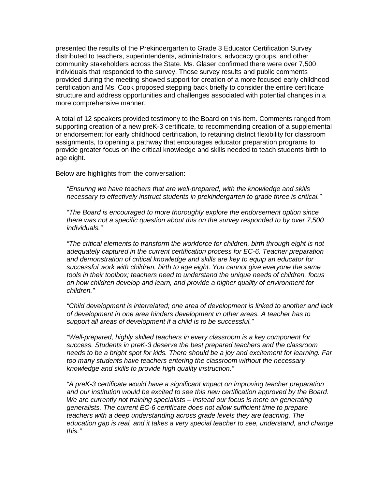presented the results of the Prekindergarten to Grade 3 Educator Certification Survey distributed to teachers, superintendents, administrators, advocacy groups, and other community stakeholders across the State. Ms. Glaser confirmed there were over 7,500 individuals that responded to the survey. Those survey results and public comments provided during the meeting showed support for creation of a more focused early childhood certification and Ms. Cook proposed stepping back briefly to consider the entire certificate structure and address opportunities and challenges associated with potential changes in a more comprehensive manner.

A total of 12 speakers provided testimony to the Board on this item. Comments ranged from supporting creation of a new preK-3 certificate, to recommending creation of a supplemental or endorsement for early childhood certification, to retaining district flexibility for classroom assignments, to opening a pathway that encourages educator preparation programs to provide greater focus on the critical knowledge and skills needed to teach students birth to age eight.

Below are highlights from the conversation:

*"Ensuring we have teachers that are well-prepared, with the knowledge and skills necessary to effectively instruct students in prekindergarten to grade three is critical."*

*"The Board is encouraged to more thoroughly explore the endorsement option since there was not a specific question about this on the survey responded to by over 7,500 individuals."*

*"The critical elements to transform the workforce for children, birth through eight is not adequately captured in the current certification process for EC-6. Teacher preparation and demonstration of critical knowledge and skills are key to equip an educator for successful work with children, birth to age eight. You cannot give everyone the same tools in their toolbox; teachers need to understand the unique needs of children, focus on how children develop and learn, and provide a higher quality of environment for children."*

*"Child development is interrelated; one area of development is linked to another and lack of development in one area hinders development in other areas. A teacher has to support all areas of development if a child is to be successful."*

*"Well-prepared, highly skilled teachers in every classroom is a key component for success. Students in preK-3 deserve the best prepared teachers and the classroom needs to be a bright spot for kids. There should be a joy and excitement for learning. Far too many students have teachers entering the classroom without the necessary knowledge and skills to provide high quality instruction."*

*"A preK-3 certificate would have a significant impact on improving teacher preparation and our institution would be excited to see this new certification approved by the Board. We are currently not training specialists – instead our focus is more on generating generalists. The current EC-6 certificate does not allow sufficient time to prepare teachers with a deep understanding across grade levels they are teaching. The education gap is real, and it takes a very special teacher to see, understand, and change this."*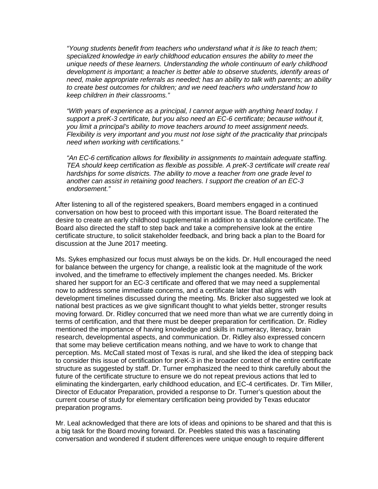*"Young students benefit from teachers who understand what it is like to teach them; specialized knowledge in early childhood education ensures the ability to meet the unique needs of these learners. Understanding the whole continuum of early childhood development is important; a teacher is better able to observe students, identify areas of need, make appropriate referrals as needed; has an ability to talk with parents; an ability to create best outcomes for children; and we need teachers who understand how to keep children in their classrooms."*

*"With years of experience as a principal, I cannot argue with anything heard today. I support a preK-3 certificate, but you also need an EC-6 certificate; because without it, you limit a principal's ability to move teachers around to meet assignment needs. Flexibility is very important and you must not lose sight of the practicality that principals need when working with certifications."*

*"An EC-6 certification allows for flexibility in assignments to maintain adequate staffing. TEA should keep certification as flexible as possible. A preK-3 certificate will create real hardships for some districts. The ability to move a teacher from one grade level to another can assist in retaining good teachers. I support the creation of an EC-3 endorsement."*

After listening to all of the registered speakers, Board members engaged in a continued conversation on how best to proceed with this important issue. The Board reiterated the desire to create an early childhood supplemental in addition to a standalone certificate. The Board also directed the staff to step back and take a comprehensive look at the entire certificate structure, to solicit stakeholder feedback, and bring back a plan to the Board for discussion at the June 2017 meeting.

Ms. Sykes emphasized our focus must always be on the kids. Dr. Hull encouraged the need for balance between the urgency for change, a realistic look at the magnitude of the work involved, and the timeframe to effectively implement the changes needed. Ms. Bricker shared her support for an EC-3 certificate and offered that we may need a supplemental now to address some immediate concerns, and a certificate later that aligns with development timelines discussed during the meeting. Ms. Bricker also suggested we look at national best practices as we give significant thought to what yields better, stronger results moving forward. Dr. Ridley concurred that we need more than what we are currently doing in terms of certification, and that there must be deeper preparation for certification. Dr. Ridley mentioned the importance of having knowledge and skills in numeracy, literacy, brain research, developmental aspects, and communication. Dr. Ridley also expressed concern that some may believe certification means nothing, and we have to work to change that perception. Ms. McCall stated most of Texas is rural, and she liked the idea of stepping back to consider this issue of certification for preK-3 in the broader context of the entire certificate structure as suggested by staff. Dr. Turner emphasized the need to think carefully about the future of the certificate structure to ensure we do not repeat previous actions that led to eliminating the kindergarten, early childhood education, and EC-4 certificates. Dr. Tim Miller, Director of Educator Preparation, provided a response to Dr. Turner's question about the current course of study for elementary certification being provided by Texas educator preparation programs.

Mr. Leal acknowledged that there are lots of ideas and opinions to be shared and that this is a big task for the Board moving forward. Dr. Peebles stated this was a fascinating conversation and wondered if student differences were unique enough to require different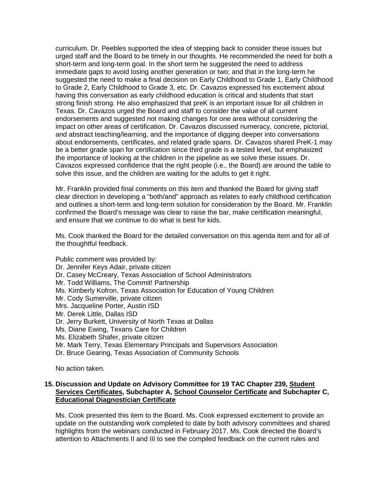curriculum. Dr. Peebles supported the idea of stepping back to consider these issues but urged staff and the Board to be timely in our thoughts. He recommended the need for both a short-term and long-term goal. In the short term he suggested the need to address immediate gaps to avoid losing another generation or two; and that in the long-term he suggested the need to make a final decision on Early Childhood to Grade 1, Early Childhood to Grade 2, Early Childhood to Grade 3, etc. Dr. Cavazos expressed his excitement about having this conversation as early childhood education is critical and students that start strong finish strong. He also emphasized that preK is an important issue for all children in Texas. Dr. Cavazos urged the Board and staff to consider the value of all current endorsements and suggested not making changes for one area without considering the impact on other areas of certification. Dr. Cavazos discussed numeracy, concrete, pictorial, and abstract teaching/learning, and the importance of digging deeper into conversations about endorsements, certificates, and related grade spans. Dr. Cavazos shared PreK-1 may be a better grade span for certification since third grade is a tested level, but emphasized the importance of looking at the children in the pipeline as we solve these issues. Dr. Cavazos expressed confidence that the right people (i.e., the Board) are around the table to solve this issue, and the children are waiting for the adults to get it right.

Mr. Franklin provided final comments on this item and thanked the Board for giving staff clear direction in developing a "both/and" approach as relates to early childhood certification and outlines a short-term and long-term solution for consideration by the Board. Mr. Franklin confirmed the Board's message was clear to raise the bar, make certification meaningful, and ensure that we continue to do what is best for kids.

Ms. Cook thanked the Board for the detailed conversation on this agenda item and for all of the thoughtful feedback.

Public comment was provided by:

- Dr. Jennifer Keys Adair, private citizen
- Dr. Casey McCreary, Texas Association of School Administrators
- Mr. Todd Williams, The Commit! Partnership
- Ms. Kimberly Kofron, Texas Association for Education of Young Children
- Mr. Cody Sumerville, private citizen
- Mrs. Jacqueline Porter, Austin ISD
- Mr. Derek Little, Dallas ISD
- Dr. Jerry Burkett, University of North Texas at Dallas
- Ms. Diane Ewing, Texans Care for Children
- Ms. Elizabeth Shafer, private citizen
- Mr. Mark Terry, Texas Elementary Principals and Supervisors Association
- Dr. Bruce Gearing, Texas Association of Community Schools

No action taken.

#### **15. Discussion and Update on Advisory Committee for 19 TAC Chapter 239, Student Services Certificates, Subchapter A, School Counselor Certificate and Subchapter C, Educational Diagnostician Certificate**

Ms. Cook presented this item to the Board. Ms. Cook expressed excitement to provide an update on the outstanding work completed to date by both advisory committees and shared highlights from the webinars conducted in February 2017. Ms. Cook directed the Board's attention to Attachments II and III to see the compiled feedback on the current rules and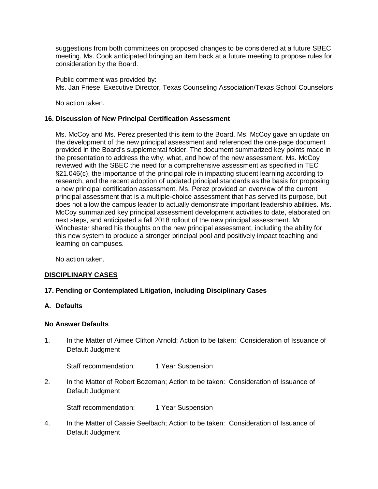suggestions from both committees on proposed changes to be considered at a future SBEC meeting. Ms. Cook anticipated bringing an item back at a future meeting to propose rules for consideration by the Board.

Public comment was provided by: Ms. Jan Friese, Executive Director, Texas Counseling Association/Texas School Counselors

No action taken.

# **16. Discussion of New Principal Certification Assessment**

Ms. McCoy and Ms. Perez presented this item to the Board. Ms. McCoy gave an update on the development of the new principal assessment and referenced the one-page document provided in the Board's supplemental folder. The document summarized key points made in the presentation to address the why, what, and how of the new assessment. Ms. McCoy reviewed with the SBEC the need for a comprehensive assessment as specified in TEC §21.046(c), the importance of the principal role in impacting student learning according to research, and the recent adoption of updated principal standards as the basis for proposing a new principal certification assessment. Ms. Perez provided an overview of the current principal assessment that is a multiple-choice assessment that has served its purpose, but does not allow the campus leader to actually demonstrate important leadership abilities. Ms. McCoy summarized key principal assessment development activities to date, elaborated on next steps, and anticipated a fall 2018 rollout of the new principal assessment. Mr. Winchester shared his thoughts on the new principal assessment, including the ability for this new system to produce a stronger principal pool and positively impact teaching and learning on campuses.

No action taken.

# **DISCIPLINARY CASES**

# **17. Pending or Contemplated Litigation, including Disciplinary Cases**

**A. Defaults**

# **No Answer Defaults**

1. In the Matter of Aimee Clifton Arnold; Action to be taken: Consideration of Issuance of Default Judgment

Staff recommendation: 1 Year Suspension

2. In the Matter of Robert Bozeman; Action to be taken: Consideration of Issuance of Default Judgment

Staff recommendation: 1 Year Suspension

4. In the Matter of Cassie Seelbach; Action to be taken: Consideration of Issuance of Default Judgment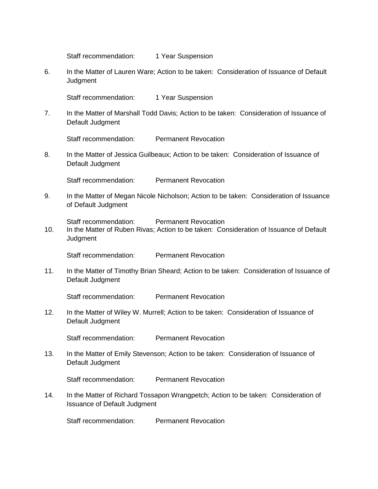Staff recommendation: 1 Year Suspension

6. In the Matter of Lauren Ware; Action to be taken: Consideration of Issuance of Default **Judgment** 

Staff recommendation: 1 Year Suspension

7. In the Matter of Marshall Todd Davis; Action to be taken: Consideration of Issuance of Default Judgment

Staff recommendation: Permanent Revocation

8. In the Matter of Jessica Guilbeaux; Action to be taken: Consideration of Issuance of Default Judgment

Staff recommendation: Permanent Revocation

9. In the Matter of Megan Nicole Nicholson; Action to be taken: Consideration of Issuance of Default Judgment

Staff recommendation: Permanent Revocation

10. In the Matter of Ruben Rivas; Action to be taken: Consideration of Issuance of Default **Judgment** 

Staff recommendation: Permanent Revocation

11. In the Matter of Timothy Brian Sheard; Action to be taken: Consideration of Issuance of Default Judgment

Staff recommendation: Permanent Revocation

12. In the Matter of Wiley W. Murrell; Action to be taken: Consideration of Issuance of Default Judgment

Staff recommendation: Permanent Revocation

13. In the Matter of Emily Stevenson; Action to be taken: Consideration of Issuance of Default Judgment

Staff recommendation: Permanent Revocation

14. In the Matter of Richard Tossapon Wrangpetch; Action to be taken: Consideration of Issuance of Default Judgment

Staff recommendation: Permanent Revocation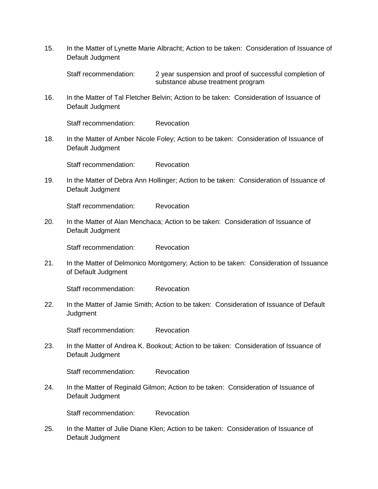15. In the Matter of Lynette Marie Albracht; Action to be taken: Consideration of Issuance of Default Judgment

Staff recommendation: 2 year suspension and proof of successful completion of substance abuse treatment program

16. In the Matter of Tal Fletcher Belvin; Action to be taken: Consideration of Issuance of Default Judgment

Staff recommendation: Revocation

18. In the Matter of Amber Nicole Foley; Action to be taken: Consideration of Issuance of Default Judgment

Staff recommendation: Revocation

19. In the Matter of Debra Ann Hollinger; Action to be taken: Consideration of Issuance of Default Judgment

Staff recommendation: Revocation

20. In the Matter of Alan Menchaca; Action to be taken: Consideration of Issuance of Default Judgment

Staff recommendation: Revocation

21. In the Matter of Delmonico Montgomery; Action to be taken: Consideration of Issuance of Default Judgment

Staff recommendation: Revocation

22. In the Matter of Jamie Smith; Action to be taken: Consideration of Issuance of Default **Judgment** 

Staff recommendation: Revocation

23. In the Matter of Andrea K. Bookout; Action to be taken: Consideration of Issuance of Default Judgment

Staff recommendation: Revocation

24. In the Matter of Reginald Gilmon; Action to be taken: Consideration of Issuance of Default Judgment

Staff recommendation: Revocation

25. In the Matter of Julie Diane Klen; Action to be taken: Consideration of Issuance of Default Judgment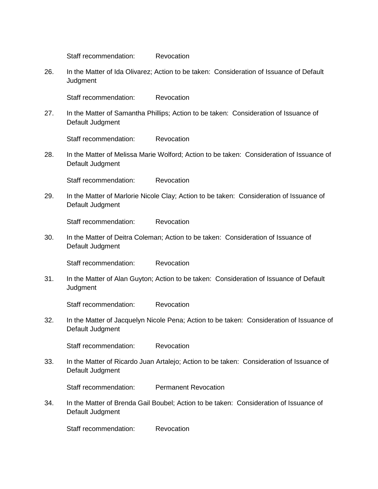Staff recommendation: Revocation

26. In the Matter of Ida Olivarez; Action to be taken: Consideration of Issuance of Default **Judgment** 

Staff recommendation: Revocation

27. In the Matter of Samantha Phillips; Action to be taken: Consideration of Issuance of Default Judgment

Staff recommendation: Revocation

28. In the Matter of Melissa Marie Wolford; Action to be taken: Consideration of Issuance of Default Judgment

Staff recommendation: Revocation

29. In the Matter of Marlorie Nicole Clay; Action to be taken: Consideration of Issuance of Default Judgment

Staff recommendation: Revocation

30. In the Matter of Deitra Coleman; Action to be taken: Consideration of Issuance of Default Judgment

Staff recommendation: Revocation

31. In the Matter of Alan Guyton; Action to be taken: Consideration of Issuance of Default **Judgment** 

Staff recommendation: Revocation

32. In the Matter of Jacquelyn Nicole Pena; Action to be taken: Consideration of Issuance of Default Judgment

Staff recommendation: Revocation

33. In the Matter of Ricardo Juan Artalejo; Action to be taken: Consideration of Issuance of Default Judgment

Staff recommendation: Permanent Revocation

34. In the Matter of Brenda Gail Boubel; Action to be taken: Consideration of Issuance of Default Judgment

Staff recommendation: Revocation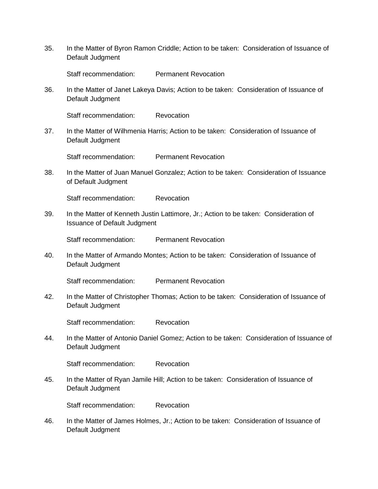35. In the Matter of Byron Ramon Criddle; Action to be taken: Consideration of Issuance of Default Judgment

Staff recommendation: Permanent Revocation

36. In the Matter of Janet Lakeya Davis; Action to be taken: Consideration of Issuance of Default Judgment

Staff recommendation: Revocation

37. In the Matter of Wilhmenia Harris; Action to be taken: Consideration of Issuance of Default Judgment

Staff recommendation: Permanent Revocation

38. In the Matter of Juan Manuel Gonzalez; Action to be taken: Consideration of Issuance of Default Judgment

Staff recommendation: Revocation

39. In the Matter of Kenneth Justin Lattimore, Jr.; Action to be taken: Consideration of Issuance of Default Judgment

Staff recommendation: Permanent Revocation

40. In the Matter of Armando Montes; Action to be taken: Consideration of Issuance of Default Judgment

Staff recommendation: Permanent Revocation

42. In the Matter of Christopher Thomas; Action to be taken: Consideration of Issuance of Default Judgment

Staff recommendation: Revocation

44. In the Matter of Antonio Daniel Gomez; Action to be taken: Consideration of Issuance of Default Judgment

Staff recommendation: Revocation

45. In the Matter of Ryan Jamile Hill; Action to be taken: Consideration of Issuance of Default Judgment

Staff recommendation: Revocation

46. In the Matter of James Holmes, Jr.; Action to be taken: Consideration of Issuance of Default Judgment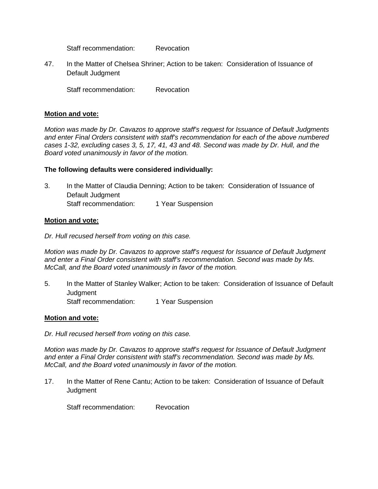Staff recommendation: Revocation

47. In the Matter of Chelsea Shriner; Action to be taken: Consideration of Issuance of Default Judgment

Staff recommendation: Revocation

# **Motion and vote:**

*Motion was made by Dr. Cavazos to approve staff's request for Issuance of Default Judgments and enter Final Orders consistent with staff's recommendation for each of the above numbered cases 1-32, excluding cases 3, 5, 17, 41, 43 and 48. Second was made by Dr. Hull, and the Board voted unanimously in favor of the motion.*

# **The following defaults were considered individually:**

3. In the Matter of Claudia Denning; Action to be taken: Consideration of Issuance of Default Judgment Staff recommendation: 1 Year Suspension

# **Motion and vote:**

*Dr. Hull recused herself from voting on this case.* 

*Motion was made by Dr. Cavazos to approve staff's request for Issuance of Default Judgment and enter a Final Order consistent with staff's recommendation. Second was made by Ms. McCall, and the Board voted unanimously in favor of the motion.* 

5. In the Matter of Stanley Walker; Action to be taken: Consideration of Issuance of Default **Judgment** 

Staff recommendation: 1 Year Suspension

# **Motion and vote:**

*Dr. Hull recused herself from voting on this case.* 

*Motion was made by Dr. Cavazos to approve staff's request for Issuance of Default Judgment and enter a Final Order consistent with staff's recommendation. Second was made by Ms. McCall, and the Board voted unanimously in favor of the motion.*

17. In the Matter of Rene Cantu; Action to be taken: Consideration of Issuance of Default **Judgment** 

Staff recommendation: Revocation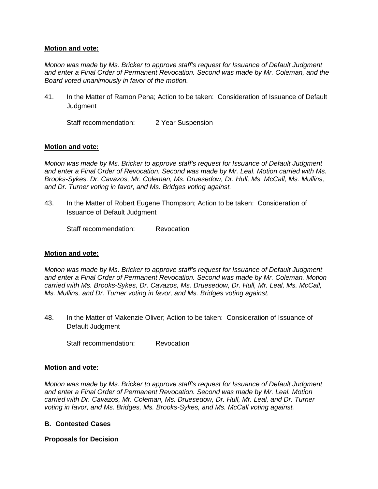#### **Motion and vote:**

*Motion was made by Ms. Bricker to approve staff's request for Issuance of Default Judgment and enter a Final Order of Permanent Revocation. Second was made by Mr. Coleman, and the Board voted unanimously in favor of the motion.* 

41. In the Matter of Ramon Pena; Action to be taken: Consideration of Issuance of Default **Judgment** 

Staff recommendation: 2 Year Suspension

# **Motion and vote:**

*Motion was made by Ms. Bricker to approve staff's request for Issuance of Default Judgment and enter a Final Order of Revocation. Second was made by Mr. Leal. Motion carried with Ms. Brooks-Sykes, Dr. Cavazos, Mr. Coleman, Ms. Druesedow, Dr. Hull, Ms. McCall, Ms. Mullins, and Dr. Turner voting in favor, and Ms. Bridges voting against.* 

43. In the Matter of Robert Eugene Thompson; Action to be taken: Consideration of Issuance of Default Judgment

Staff recommendation: Revocation

# **Motion and vote:**

*Motion was made by Ms. Bricker to approve staff's request for Issuance of Default Judgment and enter a Final Order of Permanent Revocation. Second was made by Mr. Coleman. Motion carried with Ms. Brooks-Sykes, Dr. Cavazos, Ms. Druesedow, Dr. Hull, Mr. Leal, Ms. McCall, Ms. Mullins, and Dr. Turner voting in favor, and Ms. Bridges voting against.* 

48. In the Matter of Makenzie Oliver; Action to be taken: Consideration of Issuance of Default Judgment

Staff recommendation: Revocation

#### **Motion and vote:**

*Motion was made by Ms. Bricker to approve staff's request for Issuance of Default Judgment and enter a Final Order of Permanent Revocation. Second was made by Mr. Leal. Motion carried with Dr. Cavazos, Mr. Coleman, Ms. Druesedow, Dr. Hull, Mr. Leal, and Dr. Turner voting in favor, and Ms. Bridges, Ms. Brooks-Sykes, and Ms. McCall voting against.*

# **B. Contested Cases**

# **Proposals for Decision**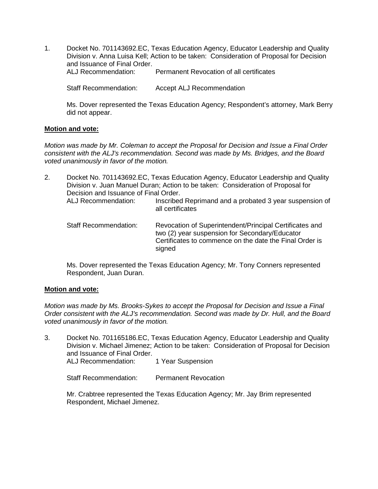1. Docket No. 701143692.EC, Texas Education Agency, Educator Leadership and Quality Division v. Anna Luisa Kell; Action to be taken: Consideration of Proposal for Decision and Issuance of Final Order.<br>ALJ Recommendation: Permanent Revocation of all certificates

Staff Recommendation: Accept ALJ Recommendation

Ms. Dover represented the Texas Education Agency; Respondent's attorney, Mark Berry did not appear.

# **Motion and vote:**

*Motion was made by Mr. Coleman to accept the Proposal for Decision and Issue a Final Order consistent with the ALJ's recommendation. Second was made by Ms. Bridges, and the Board voted unanimously in favor of the motion.* 

- 2. Docket No. 701143692.EC, Texas Education Agency, Educator Leadership and Quality Division v. Juan Manuel Duran; Action to be taken: Consideration of Proposal for Decision and Issuance of Final Order. ALJ Recommendation: Inscribed Reprimand and a probated 3 year suspension of all certificates
	- Staff Recommendation: Revocation of Superintendent/Principal Certificates and two (2) year suspension for Secondary/Educator Certificates to commence on the date the Final Order is signed

Ms. Dover represented the Texas Education Agency; Mr. Tony Conners represented Respondent, Juan Duran.

# **Motion and vote:**

*Motion was made by Ms. Brooks-Sykes to accept the Proposal for Decision and Issue a Final Order consistent with the ALJ's recommendation. Second was made by Dr. Hull, and the Board voted unanimously in favor of the motion.* 

3. Docket No. 701165186.EC, Texas Education Agency, Educator Leadership and Quality Division v. Michael Jimenez; Action to be taken: Consideration of Proposal for Decision and Issuance of Final Order.<br>Al J Recommendation: 1 Year Suspension

Staff Recommendation: Permanent Revocation

Mr. Crabtree represented the Texas Education Agency; Mr. Jay Brim represented Respondent, Michael Jimenez.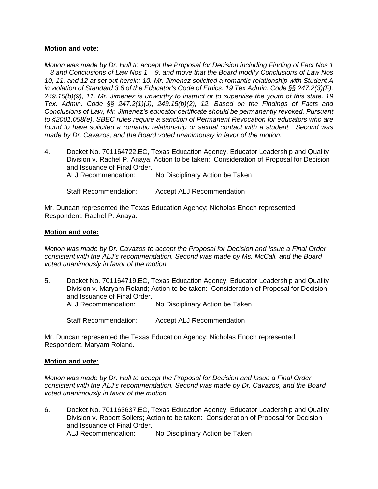#### **Motion and vote:**

*Motion was made by Dr. Hull to accept the Proposal for Decision including Finding of Fact Nos 1 – 8 and Conclusions of Law Nos 1 – 9, and move that the Board modify Conclusions of Law Nos 10, 11, and 12 at set out herein: 10. Mr. Jimenez solicited a romantic relationship with Student A in violation of Standard 3.6 of the Educator's Code of Ethics. 19 Tex Admin. Code §§ 247.2(3)(F), 249.15(b)(9), 11. Mr. Jimenez is unworthy to instruct or to supervise the youth of this state. 19 Tex. Admin. Code §§ 247.2(1)(J), 249.15(b)(2), 12. Based on the Findings of Facts and Conclusions of Law, Mr. Jimenez's educator certificate should be permanently revoked. Pursuant to §2001.058(e), SBEC rules require a sanction of Permanent Revocation for educators who are found to have solicited a romantic relationship or sexual contact with a student. Second was made by Dr. Cavazos, and the Board voted unanimously in favor of the motion.* 

4. Docket No. 701164722.EC, Texas Education Agency, Educator Leadership and Quality Division v. Rachel P. Anaya; Action to be taken: Consideration of Proposal for Decision and Issuance of Final Order.

ALJ Recommendation: No Disciplinary Action be Taken

Staff Recommendation: Accept ALJ Recommendation

Mr. Duncan represented the Texas Education Agency; Nicholas Enoch represented Respondent, Rachel P. Anaya.

#### **Motion and vote:**

*Motion was made by Dr. Cavazos to accept the Proposal for Decision and Issue a Final Order consistent with the ALJ's recommendation. Second was made by Ms. McCall, and the Board voted unanimously in favor of the motion.* 

5. Docket No. 701164719.EC, Texas Education Agency, Educator Leadership and Quality Division v. Maryam Roland; Action to be taken: Consideration of Proposal for Decision and Issuance of Final Order. ALJ Recommendation: No Disciplinary Action be Taken

Staff Recommendation: Accept ALJ Recommendation

Mr. Duncan represented the Texas Education Agency; Nicholas Enoch represented Respondent, Maryam Roland.

#### **Motion and vote:**

*Motion was made by Dr. Hull to accept the Proposal for Decision and Issue a Final Order consistent with the ALJ's recommendation. Second was made by Dr. Cavazos, and the Board voted unanimously in favor of the motion.* 

6. Docket No. 701163637.EC, Texas Education Agency, Educator Leadership and Quality Division v. Robert Sollers; Action to be taken: Consideration of Proposal for Decision and Issuance of Final Order.<br>ALJ Recommendation: No Disciplinary Action be Taken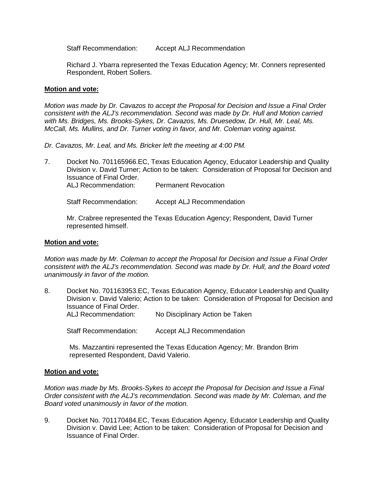Staff Recommendation: Accept ALJ Recommendation

Richard J. Ybarra represented the Texas Education Agency; Mr. Conners represented Respondent, Robert Sollers.

#### **Motion and vote:**

*Motion was made by Dr. Cavazos to accept the Proposal for Decision and Issue a Final Order consistent with the ALJ's recommendation. Second was made by Dr. Hull and Motion carried with Ms. Bridges, Ms. Brooks-Sykes, Dr. Cavazos, Ms. Druesedow, Dr. Hull, Mr. Leal, Ms. McCall, Ms. Mullins, and Dr. Turner voting in favor, and Mr. Coleman voting against.*

*Dr. Cavazos, Mr. Leal, and Ms. Bricker left the meeting at 4:00 PM.*

7. Docket No. 701165966.EC, Texas Education Agency, Educator Leadership and Quality Division v. David Turner; Action to be taken: Consideration of Proposal for Decision and Issuance of Final Order. ALJ Recommendation: Permanent Revocation

Staff Recommendation: Accept ALJ Recommendation

Mr. Crabree represented the Texas Education Agency; Respondent, David Turner represented himself.

#### **Motion and vote:**

*Motion was made by Mr. Coleman to accept the Proposal for Decision and Issue a Final Order consistent with the ALJ's recommendation. Second was made by Dr. Hull, and the Board voted unanimously in favor of the motion.* 

8. Docket No. 701163953.EC, Texas Education Agency, Educator Leadership and Quality Division v. David Valerio; Action to be taken: Consideration of Proposal for Decision and Issuance of Final Order. ALJ Recommendation: No Disciplinary Action be Taken

Staff Recommendation: Accept ALJ Recommendation

Ms. Mazzantini represented the Texas Education Agency; Mr. Brandon Brim represented Respondent, David Valerio.

# **Motion and vote:**

*Motion was made by Ms. Brooks-Sykes to accept the Proposal for Decision and Issue a Final Order consistent with the ALJ's recommendation. Second was made by Mr. Coleman, and the Board voted unanimously in favor of the motion.* 

9. Docket No. 701170484.EC, Texas Education Agency, Educator Leadership and Quality Division v. David Lee; Action to be taken: Consideration of Proposal for Decision and Issuance of Final Order.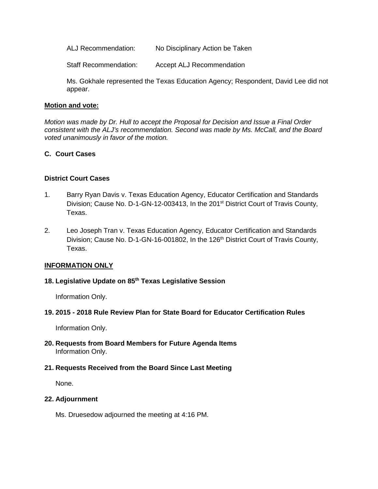ALJ Recommendation: No Disciplinary Action be Taken

Staff Recommendation: Accept ALJ Recommendation

Ms. Gokhale represented the Texas Education Agency; Respondent, David Lee did not appear.

#### **Motion and vote:**

*Motion was made by Dr. Hull to accept the Proposal for Decision and Issue a Final Order consistent with the ALJ's recommendation. Second was made by Ms. McCall, and the Board voted unanimously in favor of the motion.* 

# **C. Court Cases**

#### **District Court Cases**

- 1. Barry Ryan Davis v. Texas Education Agency, Educator Certification and Standards Division; Cause No. D-1-GN-12-003413, In the 201<sup>st</sup> District Court of Travis County, Texas.
- 2. Leo Joseph Tran v. Texas Education Agency, Educator Certification and Standards Division; Cause No. D-1-GN-16-001802, In the 126<sup>th</sup> District Court of Travis County, Texas.

#### **INFORMATION ONLY**

# **18. Legislative Update on 85th Texas Legislative Session**

Information Only.

#### **19. 2015 - 2018 Rule Review Plan for State Board for Educator Certification Rules**

Information Only.

**20. Requests from Board Members for Future Agenda Items** Information Only.

#### **21. Requests Received from the Board Since Last Meeting**

None.

#### **22. Adjournment**

Ms. Druesedow adjourned the meeting at 4:16 PM.